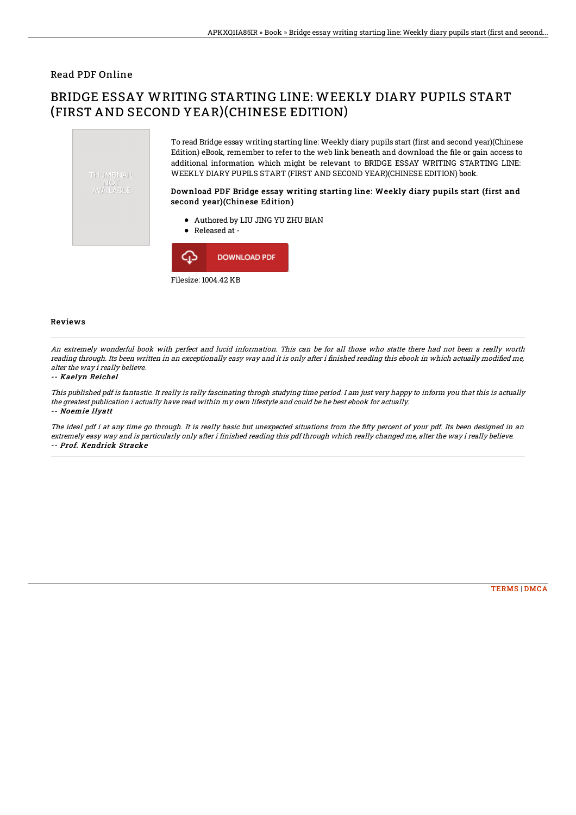### Read PDF Online

# BRIDGE ESSAY WRITING STARTING LINE: WEEKLY DIARY PUPILS START (FIRST AND SECOND YEAR)(CHINESE EDITION)



Filesize: 1004.42 KB

#### Reviews

An extremely wonderful book with perfect and lucid information. This can be for all those who statte there had not been <sup>a</sup> really worth reading through. Its been written in an exceptionally easy way and it is only after i finished reading this ebook in which actually modified me, alter the way i really believe.

#### -- Kaelyn Reichel

This published pdf is fantastic. It really is rally fascinating throgh studying time period. I am just very happy to inform you that this is actually the greatest publication i actually have read within my own lifestyle and could be he best ebook for actually. -- Noemie Hyatt

The ideal pdf i at any time go through. It is really basic but unexpected situations from the fifty percent of your pdf. Its been designed in an extremely easy way and is particularly only after i finished reading this pdf through which really changed me, alter the way i really believe. -- Prof. Kendrick Stracke